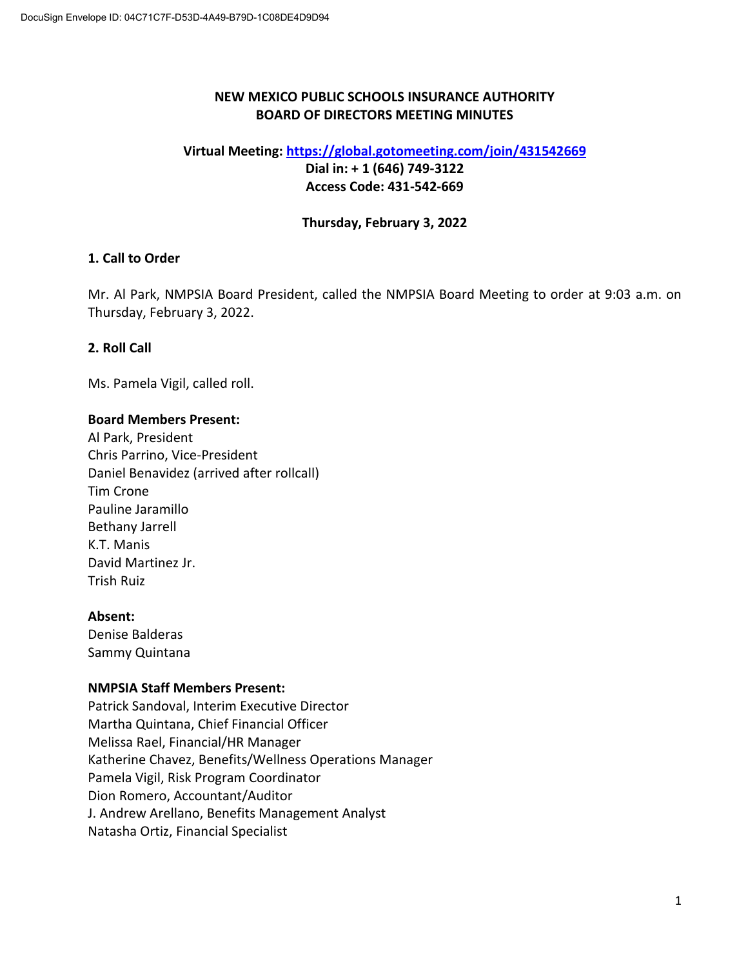# **NEW MEXICO PUBLIC SCHOOLS INSURANCE AUTHORITY BOARD OF DIRECTORS MEETING MINUTES**

## **Virtual Meeting: [https://global.gotomeeting.com/join/4](https://global.gotomeeting.com/join/233396685)31542669 Dial in: + 1 (646) 749-3122 Access Code: 431-542-669**

# **Thursday, February 3, 2022**

# **1. Call to Order**

Mr. Al Park, NMPSIA Board President, called the NMPSIA Board Meeting to order at 9:03 a.m. on Thursday, February 3, 2022.

# **2. Roll Call**

Ms. Pamela Vigil, called roll.

#### **Board Members Present:**

Al Park, President Chris Parrino, Vice-President Daniel Benavidez (arrived after rollcall) Tim Crone Pauline Jaramillo Bethany Jarrell K.T. Manis David Martinez Jr. Trish Ruiz

## **Absent:**

Denise Balderas Sammy Quintana

## **NMPSIA Staff Members Present:**

Patrick Sandoval, Interim Executive Director Martha Quintana, Chief Financial Officer Melissa Rael, Financial/HR Manager Katherine Chavez, Benefits/Wellness Operations Manager Pamela Vigil, Risk Program Coordinator Dion Romero, Accountant/Auditor J. Andrew Arellano, Benefits Management Analyst Natasha Ortiz, Financial Specialist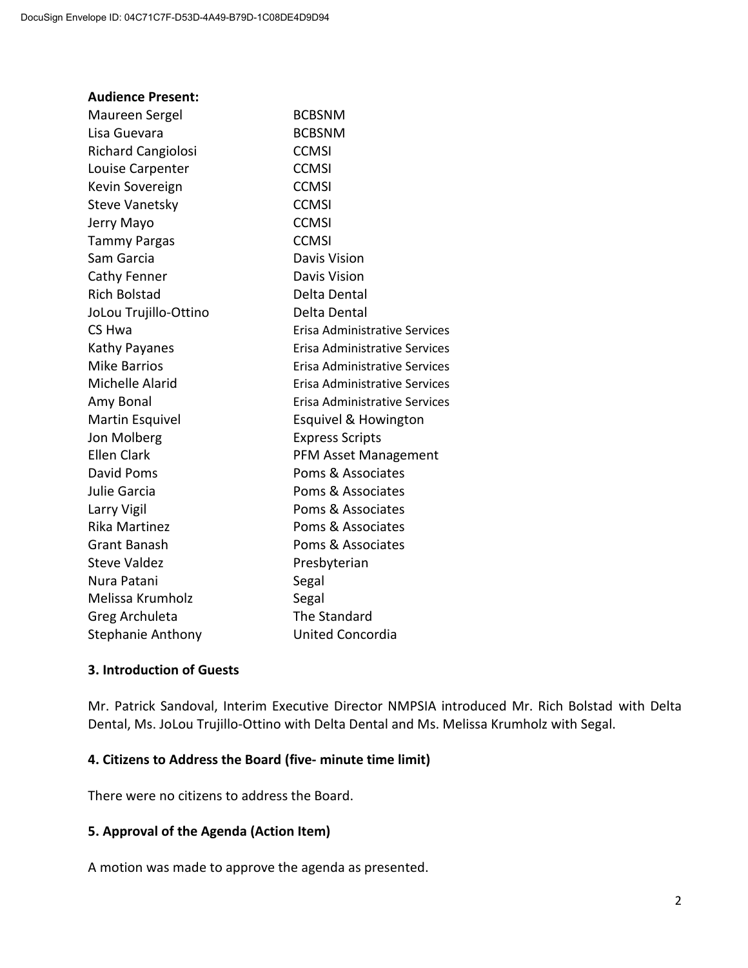| <b>Audience Present:</b>  |                                      |
|---------------------------|--------------------------------------|
| Maureen Sergel            | <b>BCBSNM</b>                        |
| Lisa Guevara              | <b>BCBSNM</b>                        |
| <b>Richard Cangiolosi</b> | <b>CCMSI</b>                         |
| Louise Carpenter          | <b>CCMSI</b>                         |
| Kevin Sovereign           | <b>CCMSI</b>                         |
| <b>Steve Vanetsky</b>     | <b>CCMSI</b>                         |
| Jerry Mayo                | <b>CCMSI</b>                         |
| <b>Tammy Pargas</b>       | <b>CCMSI</b>                         |
| Sam Garcia                | <b>Davis Vision</b>                  |
| Cathy Fenner              | Davis Vision                         |
| <b>Rich Bolstad</b>       | Delta Dental                         |
| JoLou Trujillo-Ottino     | Delta Dental                         |
| CS Hwa                    | <b>Erisa Administrative Services</b> |
| Kathy Payanes             | <b>Erisa Administrative Services</b> |
| <b>Mike Barrios</b>       | Erisa Administrative Services        |
| Michelle Alarid           | Erisa Administrative Services        |
| Amy Bonal                 | Erisa Administrative Services        |
| <b>Martin Esquivel</b>    | Esquivel & Howington                 |
| Jon Molberg               | <b>Express Scripts</b>               |
| <b>Ellen Clark</b>        | <b>PFM Asset Management</b>          |
| <b>David Poms</b>         | Poms & Associates                    |
| Julie Garcia              | Poms & Associates                    |
| Larry Vigil               | Poms & Associates                    |
| <b>Rika Martinez</b>      | Poms & Associates                    |
| <b>Grant Banash</b>       | Poms & Associates                    |
| <b>Steve Valdez</b>       | Presbyterian                         |
| Nura Patani               | Segal                                |
| Melissa Krumholz          | Segal                                |
| Greg Archuleta            | The Standard                         |
| Stephanie Anthony         | <b>United Concordia</b>              |
|                           |                                      |

# **3. Introduction of Guests**

Mr. Patrick Sandoval, Interim Executive Director NMPSIA introduced Mr. Rich Bolstad with Delta Dental, Ms. JoLou Trujillo-Ottino with Delta Dental and Ms. Melissa Krumholz with Segal.

## **4. Citizens to Address the Board (five- minute time limit)**

There were no citizens to address the Board.

## **5. Approval of the Agenda (Action Item)**

A motion was made to approve the agenda as presented.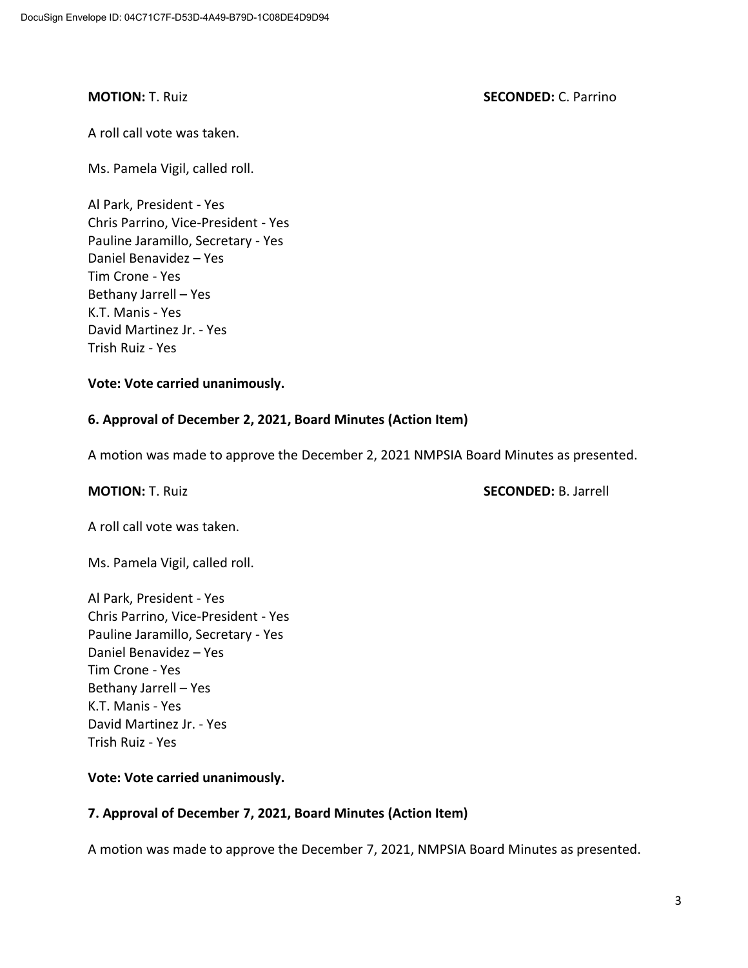#### **MOTION:** T. Ruiz **SECONDED:** C. Parrino

A roll call vote was taken.

Ms. Pamela Vigil, called roll.

Al Park, President - Yes Chris Parrino, Vice-President - Yes Pauline Jaramillo, Secretary - Yes Daniel Benavidez – Yes Tim Crone - Yes Bethany Jarrell – Yes K.T. Manis - Yes David Martinez Jr. - Yes Trish Ruiz - Yes

#### **Vote: Vote carried unanimously.**

## **6. Approval of December 2, 2021, Board Minutes (Action Item)**

A motion was made to approve the December 2, 2021 NMPSIA Board Minutes as presented.

**MOTION:** T. Ruiz **SECONDED:** B. Jarrell

A roll call vote was taken.

Ms. Pamela Vigil, called roll.

Al Park, President - Yes Chris Parrino, Vice-President - Yes Pauline Jaramillo, Secretary - Yes Daniel Benavidez – Yes Tim Crone - Yes Bethany Jarrell – Yes K.T. Manis - Yes David Martinez Jr. - Yes Trish Ruiz - Yes

## **Vote: Vote carried unanimously.**

## **7. Approval of December 7, 2021, Board Minutes (Action Item)**

A motion was made to approve the December 7, 2021, NMPSIA Board Minutes as presented.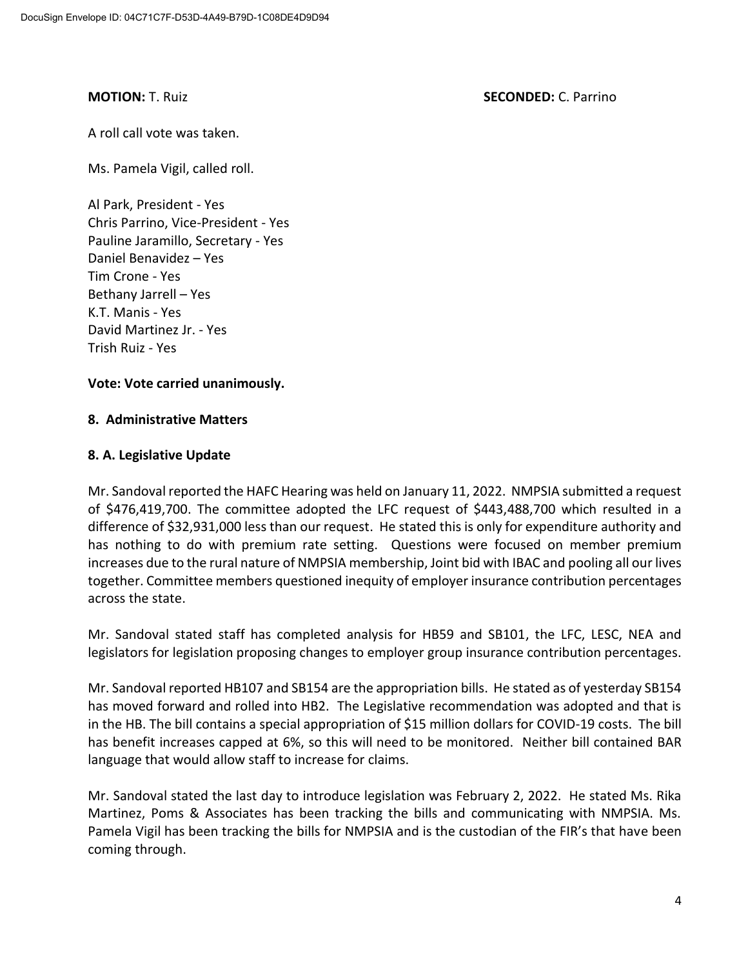#### **MOTION:** T. Ruiz **SECONDED:** C. Parrino

A roll call vote was taken.

Ms. Pamela Vigil, called roll.

Al Park, President - Yes Chris Parrino, Vice-President - Yes Pauline Jaramillo, Secretary - Yes Daniel Benavidez – Yes Tim Crone - Yes Bethany Jarrell – Yes K.T. Manis - Yes David Martinez Jr. - Yes Trish Ruiz - Yes

## **Vote: Vote carried unanimously.**

#### **8. Administrative Matters**

#### **8. A. Legislative Update**

Mr. Sandoval reported the HAFC Hearing was held on January 11, 2022. NMPSIA submitted a request of \$476,419,700. The committee adopted the LFC request of \$443,488,700 which resulted in a difference of \$32,931,000 less than our request. He stated this is only for expenditure authority and has nothing to do with premium rate setting. Questions were focused on member premium increases due to the rural nature of NMPSIA membership, Joint bid with IBAC and pooling all our lives together. Committee members questioned inequity of employer insurance contribution percentages across the state.

Mr. Sandoval stated staff has completed analysis for HB59 and SB101, the LFC, LESC, NEA and legislators for legislation proposing changes to employer group insurance contribution percentages.

Mr. Sandoval reported HB107 and SB154 are the appropriation bills. He stated as of yesterday SB154 has moved forward and rolled into HB2. The Legislative recommendation was adopted and that is in the HB. The bill contains a special appropriation of \$15 million dollars for COVID-19 costs. The bill has benefit increases capped at 6%, so this will need to be monitored. Neither bill contained BAR language that would allow staff to increase for claims.

Mr. Sandoval stated the last day to introduce legislation was February 2, 2022. He stated Ms. Rika Martinez, Poms & Associates has been tracking the bills and communicating with NMPSIA. Ms. Pamela Vigil has been tracking the bills for NMPSIA and is the custodian of the FIR's that have been coming through.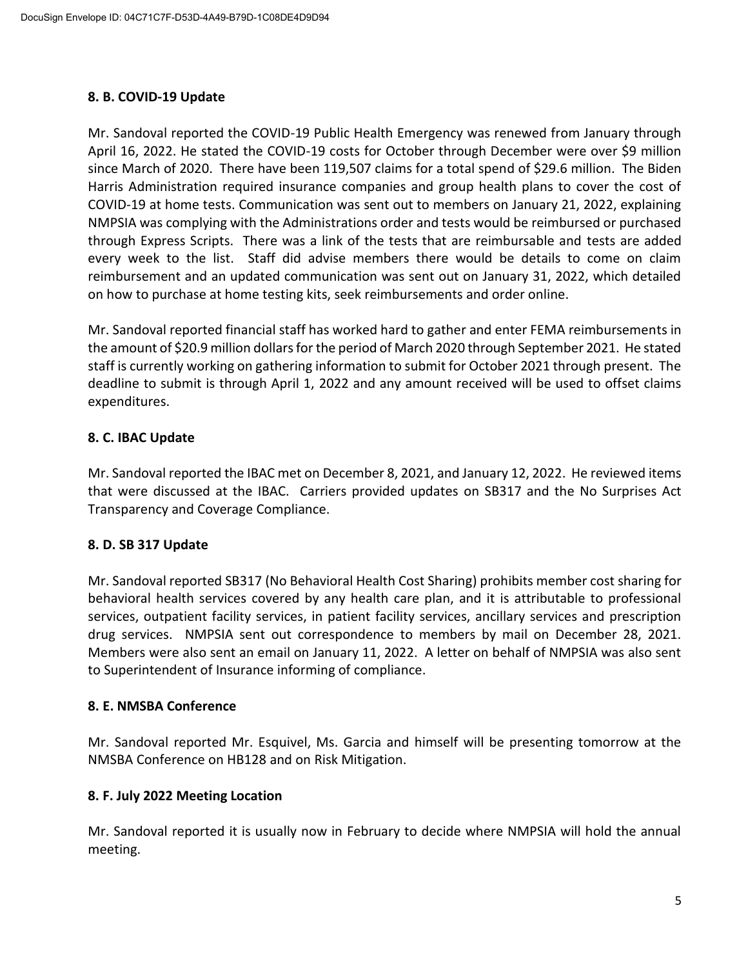# **8. B. COVID-19 Update**

Mr. Sandoval reported the COVID-19 Public Health Emergency was renewed from January through April 16, 2022. He stated the COVID-19 costs for October through December were over \$9 million since March of 2020. There have been 119,507 claims for a total spend of \$29.6 million. The Biden Harris Administration required insurance companies and group health plans to cover the cost of COVID-19 at home tests. Communication was sent out to members on January 21, 2022, explaining NMPSIA was complying with the Administrations order and tests would be reimbursed or purchased through Express Scripts. There was a link of the tests that are reimbursable and tests are added every week to the list. Staff did advise members there would be details to come on claim reimbursement and an updated communication was sent out on January 31, 2022, which detailed on how to purchase at home testing kits, seek reimbursements and order online.

Mr. Sandoval reported financial staff has worked hard to gather and enter FEMA reimbursements in the amount of \$20.9 million dollars for the period of March 2020 through September 2021. He stated staff is currently working on gathering information to submit for October 2021 through present. The deadline to submit is through April 1, 2022 and any amount received will be used to offset claims expenditures.

# **8. C. IBAC Update**

Mr. Sandoval reported the IBAC met on December 8, 2021, and January 12, 2022. He reviewed items that were discussed at the IBAC. Carriers provided updates on SB317 and the No Surprises Act Transparency and Coverage Compliance.

## **8. D. SB 317 Update**

Mr. Sandoval reported SB317 (No Behavioral Health Cost Sharing) prohibits member cost sharing for behavioral health services covered by any health care plan, and it is attributable to professional services, outpatient facility services, in patient facility services, ancillary services and prescription drug services. NMPSIA sent out correspondence to members by mail on December 28, 2021. Members were also sent an email on January 11, 2022. A letter on behalf of NMPSIA was also sent to Superintendent of Insurance informing of compliance.

## **8. E. NMSBA Conference**

Mr. Sandoval reported Mr. Esquivel, Ms. Garcia and himself will be presenting tomorrow at the NMSBA Conference on HB128 and on Risk Mitigation.

## **8. F. July 2022 Meeting Location**

Mr. Sandoval reported it is usually now in February to decide where NMPSIA will hold the annual meeting.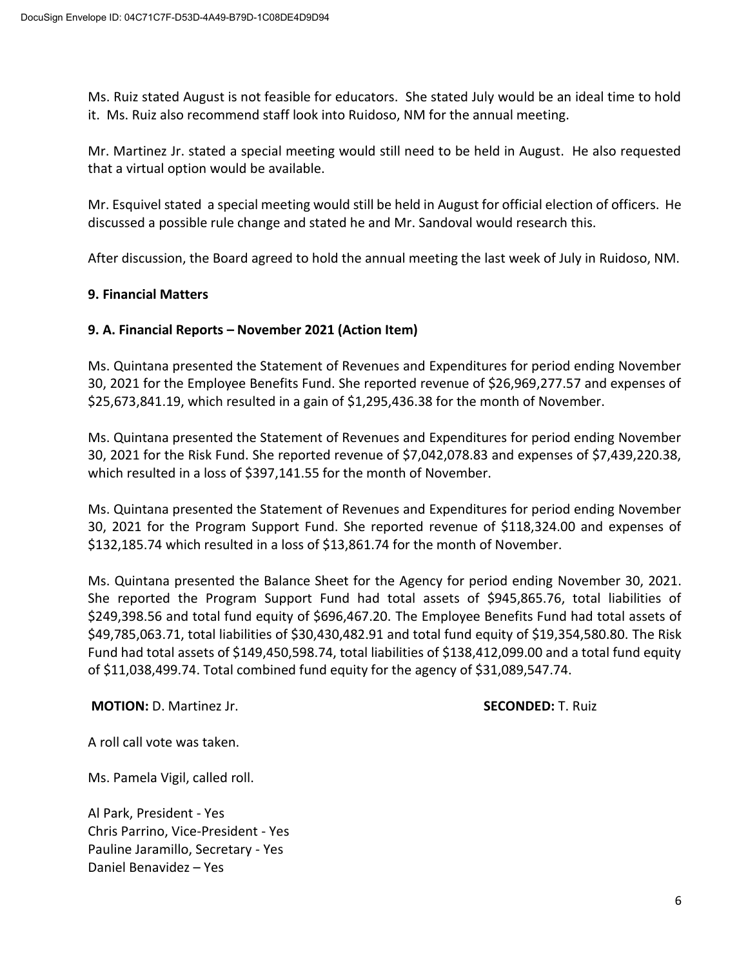Ms. Ruiz stated August is not feasible for educators. She stated July would be an ideal time to hold it. Ms. Ruiz also recommend staff look into Ruidoso, NM for the annual meeting.

Mr. Martinez Jr. stated a special meeting would still need to be held in August. He also requested that a virtual option would be available.

Mr. Esquivel stated a special meeting would still be held in August for official election of officers. He discussed a possible rule change and stated he and Mr. Sandoval would research this.

After discussion, the Board agreed to hold the annual meeting the last week of July in Ruidoso, NM.

#### **9. Financial Matters**

## **9. A. Financial Reports – November 2021 (Action Item)**

Ms. Quintana presented the Statement of Revenues and Expenditures for period ending November 30, 2021 for the Employee Benefits Fund. She reported revenue of \$26,969,277.57 and expenses of \$25,673,841.19, which resulted in a gain of \$1,295,436.38 for the month of November.

Ms. Quintana presented the Statement of Revenues and Expenditures for period ending November 30, 2021 for the Risk Fund. She reported revenue of \$7,042,078.83 and expenses of \$7,439,220.38, which resulted in a loss of \$397,141.55 for the month of November.

Ms. Quintana presented the Statement of Revenues and Expenditures for period ending November 30, 2021 for the Program Support Fund. She reported revenue of \$118,324.00 and expenses of \$132,185.74 which resulted in a loss of \$13,861.74 for the month of November.

Ms. Quintana presented the Balance Sheet for the Agency for period ending November 30, 2021. She reported the Program Support Fund had total assets of \$945,865.76, total liabilities of \$249,398.56 and total fund equity of \$696,467.20. The Employee Benefits Fund had total assets of \$49,785,063.71, total liabilities of \$30,430,482.91 and total fund equity of \$19,354,580.80. The Risk Fund had total assets of \$149,450,598.74, total liabilities of \$138,412,099.00 and a total fund equity of \$11,038,499.74. Total combined fund equity for the agency of \$31,089,547.74.

#### **MOTION:** D. Martinez Jr. **SECONDED:** T. Ruiz

A roll call vote was taken.

Ms. Pamela Vigil, called roll.

Al Park, President - Yes Chris Parrino, Vice-President - Yes Pauline Jaramillo, Secretary - Yes Daniel Benavidez – Yes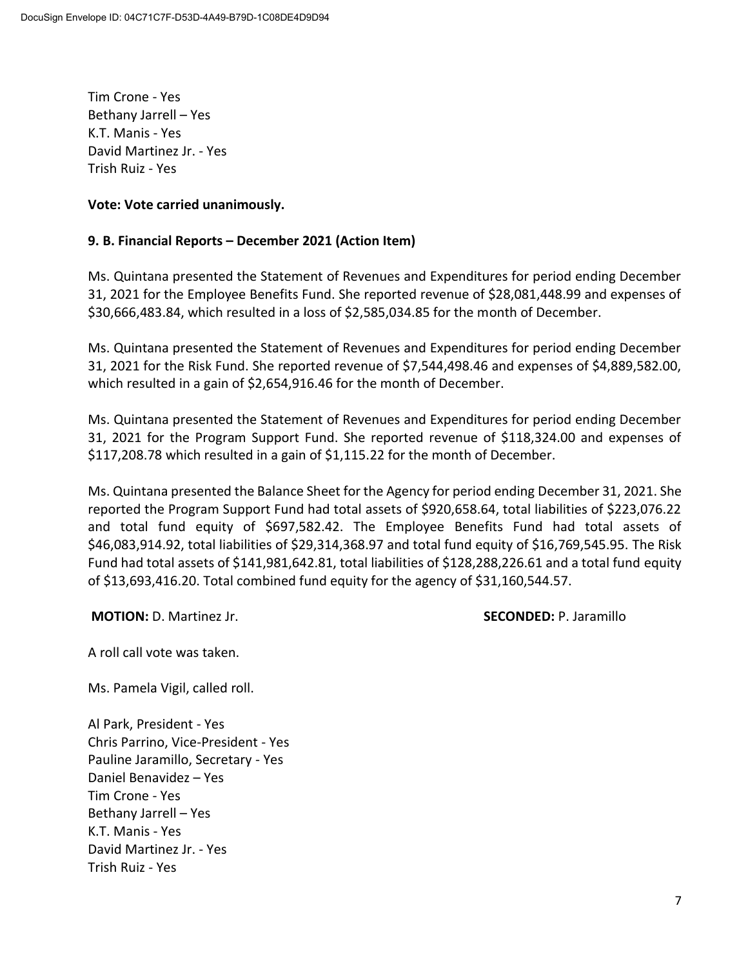Tim Crone - Yes Bethany Jarrell – Yes K.T. Manis - Yes David Martinez Jr. - Yes Trish Ruiz - Yes

#### **Vote: Vote carried unanimously.**

#### **9. B. Financial Reports – December 2021 (Action Item)**

Ms. Quintana presented the Statement of Revenues and Expenditures for period ending December 31, 2021 for the Employee Benefits Fund. She reported revenue of \$28,081,448.99 and expenses of \$30,666,483.84, which resulted in a loss of \$2,585,034.85 for the month of December.

Ms. Quintana presented the Statement of Revenues and Expenditures for period ending December 31, 2021 for the Risk Fund. She reported revenue of \$7,544,498.46 and expenses of \$4,889,582.00, which resulted in a gain of \$2,654,916.46 for the month of December.

Ms. Quintana presented the Statement of Revenues and Expenditures for period ending December 31, 2021 for the Program Support Fund. She reported revenue of \$118,324.00 and expenses of \$117,208.78 which resulted in a gain of \$1,115.22 for the month of December.

Ms. Quintana presented the Balance Sheet for the Agency for period ending December 31, 2021. She reported the Program Support Fund had total assets of \$920,658.64, total liabilities of \$223,076.22 and total fund equity of \$697,582.42. The Employee Benefits Fund had total assets of \$46,083,914.92, total liabilities of \$29,314,368.97 and total fund equity of \$16,769,545.95. The Risk Fund had total assets of \$141,981,642.81, total liabilities of \$128,288,226.61 and a total fund equity of \$13,693,416.20. Total combined fund equity for the agency of \$31,160,544.57.

**MOTION:** D. Martinez Jr. **SECONDED:** P. Jaramillo

A roll call vote was taken.

Ms. Pamela Vigil, called roll.

Al Park, President - Yes Chris Parrino, Vice-President - Yes Pauline Jaramillo, Secretary - Yes Daniel Benavidez – Yes Tim Crone - Yes Bethany Jarrell – Yes K.T. Manis - Yes David Martinez Jr. - Yes Trish Ruiz - Yes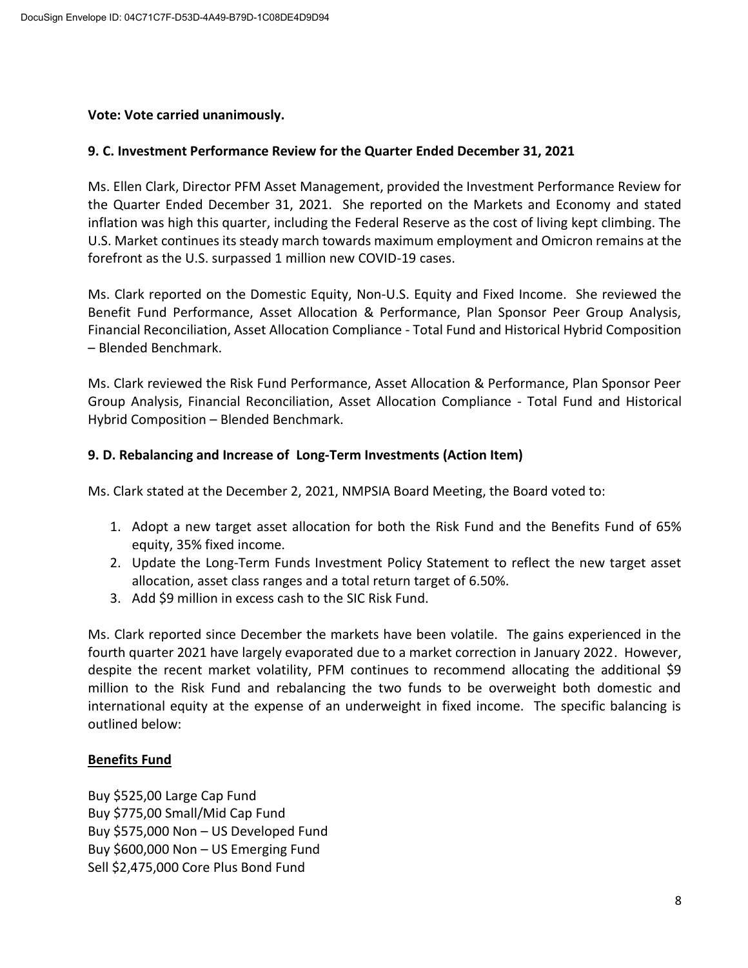#### **Vote: Vote carried unanimously.**

## **9. C. Investment Performance Review for the Quarter Ended December 31, 2021**

Ms. Ellen Clark, Director PFM Asset Management, provided the Investment Performance Review for the Quarter Ended December 31, 2021. She reported on the Markets and Economy and stated inflation was high this quarter, including the Federal Reserve as the cost of living kept climbing. The U.S. Market continues its steady march towards maximum employment and Omicron remains at the forefront as the U.S. surpassed 1 million new COVID-19 cases.

Ms. Clark reported on the Domestic Equity, Non-U.S. Equity and Fixed Income. She reviewed the Benefit Fund Performance, Asset Allocation & Performance, Plan Sponsor Peer Group Analysis, Financial Reconciliation, Asset Allocation Compliance - Total Fund and Historical Hybrid Composition – Blended Benchmark.

Ms. Clark reviewed the Risk Fund Performance, Asset Allocation & Performance, Plan Sponsor Peer Group Analysis, Financial Reconciliation, Asset Allocation Compliance - Total Fund and Historical Hybrid Composition – Blended Benchmark.

#### **9. D. Rebalancing and Increase of Long-Term Investments (Action Item)**

Ms. Clark stated at the December 2, 2021, NMPSIA Board Meeting, the Board voted to:

- 1. Adopt a new target asset allocation for both the Risk Fund and the Benefits Fund of 65% equity, 35% fixed income.
- 2. Update the Long-Term Funds Investment Policy Statement to reflect the new target asset allocation, asset class ranges and a total return target of 6.50%.
- 3. Add \$9 million in excess cash to the SIC Risk Fund.

Ms. Clark reported since December the markets have been volatile. The gains experienced in the fourth quarter 2021 have largely evaporated due to a market correction in January 2022. However, despite the recent market volatility, PFM continues to recommend allocating the additional \$9 million to the Risk Fund and rebalancing the two funds to be overweight both domestic and international equity at the expense of an underweight in fixed income. The specific balancing is outlined below:

## **Benefits Fund**

Buy \$525,00 Large Cap Fund Buy \$775,00 Small/Mid Cap Fund Buy \$575,000 Non – US Developed Fund Buy \$600,000 Non – US Emerging Fund Sell \$2,475,000 Core Plus Bond Fund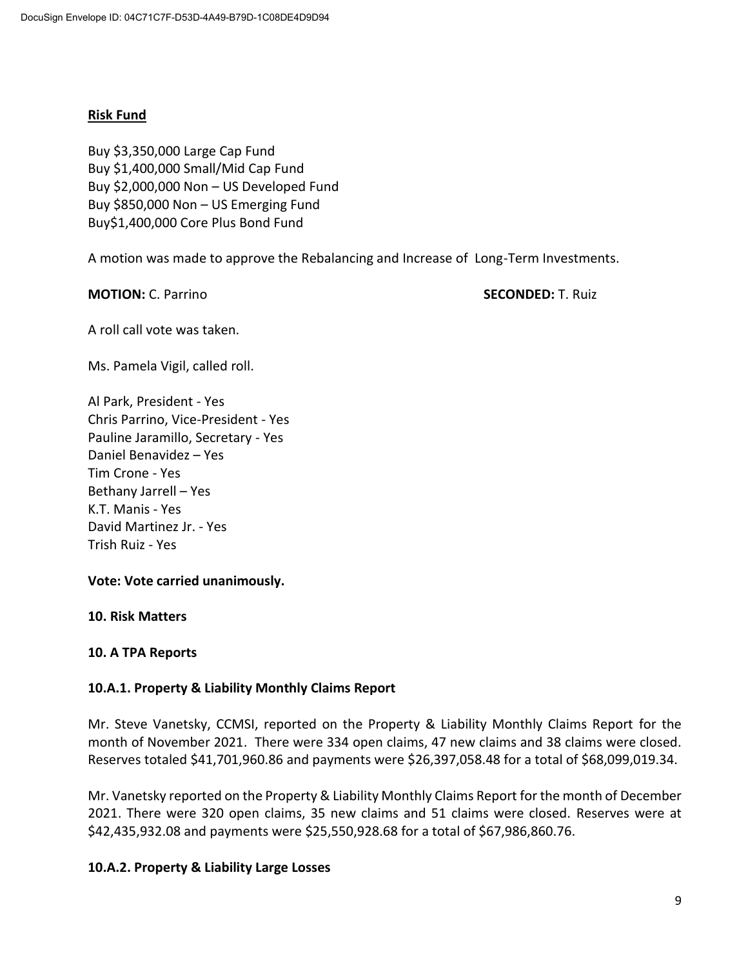#### **Risk Fund**

Buy \$3,350,000 Large Cap Fund Buy \$1,400,000 Small/Mid Cap Fund Buy \$2,000,000 Non – US Developed Fund Buy \$850,000 Non – US Emerging Fund Buy\$1,400,000 Core Plus Bond Fund

A motion was made to approve the Rebalancing and Increase of Long-Term Investments.

**MOTION:** C. Parrino **SECONDED:** T. Ruiz

A roll call vote was taken.

Ms. Pamela Vigil, called roll.

Al Park, President - Yes Chris Parrino, Vice-President - Yes Pauline Jaramillo, Secretary - Yes Daniel Benavidez – Yes Tim Crone - Yes Bethany Jarrell – Yes K.T. Manis - Yes David Martinez Jr. - Yes Trish Ruiz - Yes

## **Vote: Vote carried unanimously.**

#### **10. Risk Matters**

## **10. A TPA Reports**

## **10.A.1. Property & Liability Monthly Claims Report**

Mr. Steve Vanetsky, CCMSI, reported on the Property & Liability Monthly Claims Report for the month of November 2021. There were 334 open claims, 47 new claims and 38 claims were closed. Reserves totaled \$41,701,960.86 and payments were \$26,397,058.48 for a total of \$68,099,019.34.

Mr. Vanetsky reported on the Property & Liability Monthly Claims Report for the month of December 2021. There were 320 open claims, 35 new claims and 51 claims were closed. Reserves were at \$42,435,932.08 and payments were \$25,550,928.68 for a total of \$67,986,860.76.

## **10.A.2. Property & Liability Large Losses**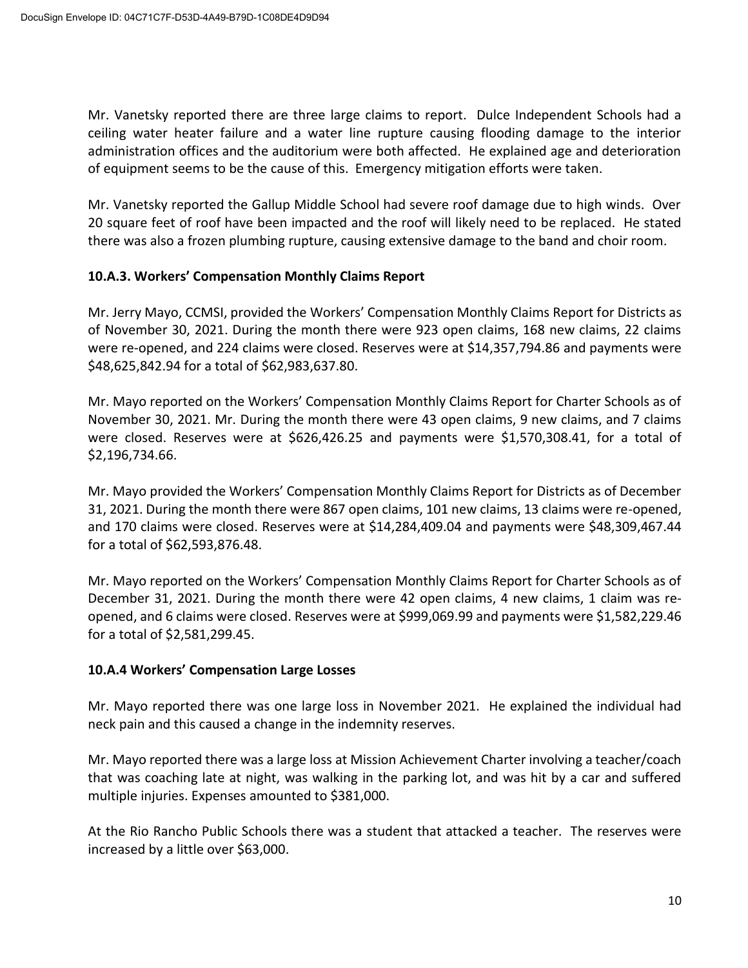Mr. Vanetsky reported there are three large claims to report. Dulce Independent Schools had a ceiling water heater failure and a water line rupture causing flooding damage to the interior administration offices and the auditorium were both affected. He explained age and deterioration of equipment seems to be the cause of this. Emergency mitigation efforts were taken.

Mr. Vanetsky reported the Gallup Middle School had severe roof damage due to high winds. Over 20 square feet of roof have been impacted and the roof will likely need to be replaced. He stated there was also a frozen plumbing rupture, causing extensive damage to the band and choir room.

## **10.A.3. Workers' Compensation Monthly Claims Report**

Mr. Jerry Mayo, CCMSI, provided the Workers' Compensation Monthly Claims Report for Districts as of November 30, 2021. During the month there were 923 open claims, 168 new claims, 22 claims were re-opened, and 224 claims were closed. Reserves were at \$14,357,794.86 and payments were \$48,625,842.94 for a total of \$62,983,637.80.

Mr. Mayo reported on the Workers' Compensation Monthly Claims Report for Charter Schools as of November 30, 2021. Mr. During the month there were 43 open claims, 9 new claims, and 7 claims were closed. Reserves were at \$626,426.25 and payments were \$1,570,308.41, for a total of \$2,196,734.66.

Mr. Mayo provided the Workers' Compensation Monthly Claims Report for Districts as of December 31, 2021. During the month there were 867 open claims, 101 new claims, 13 claims were re-opened, and 170 claims were closed. Reserves were at \$14,284,409.04 and payments were \$48,309,467.44 for a total of \$62,593,876.48.

Mr. Mayo reported on the Workers' Compensation Monthly Claims Report for Charter Schools as of December 31, 2021. During the month there were 42 open claims, 4 new claims, 1 claim was reopened, and 6 claims were closed. Reserves were at \$999,069.99 and payments were \$1,582,229.46 for a total of \$2,581,299.45.

## **10.A.4 Workers' Compensation Large Losses**

Mr. Mayo reported there was one large loss in November 2021. He explained the individual had neck pain and this caused a change in the indemnity reserves.

Mr. Mayo reported there was a large loss at Mission Achievement Charter involving a teacher/coach that was coaching late at night, was walking in the parking lot, and was hit by a car and suffered multiple injuries. Expenses amounted to \$381,000.

At the Rio Rancho Public Schools there was a student that attacked a teacher. The reserves were increased by a little over \$63,000.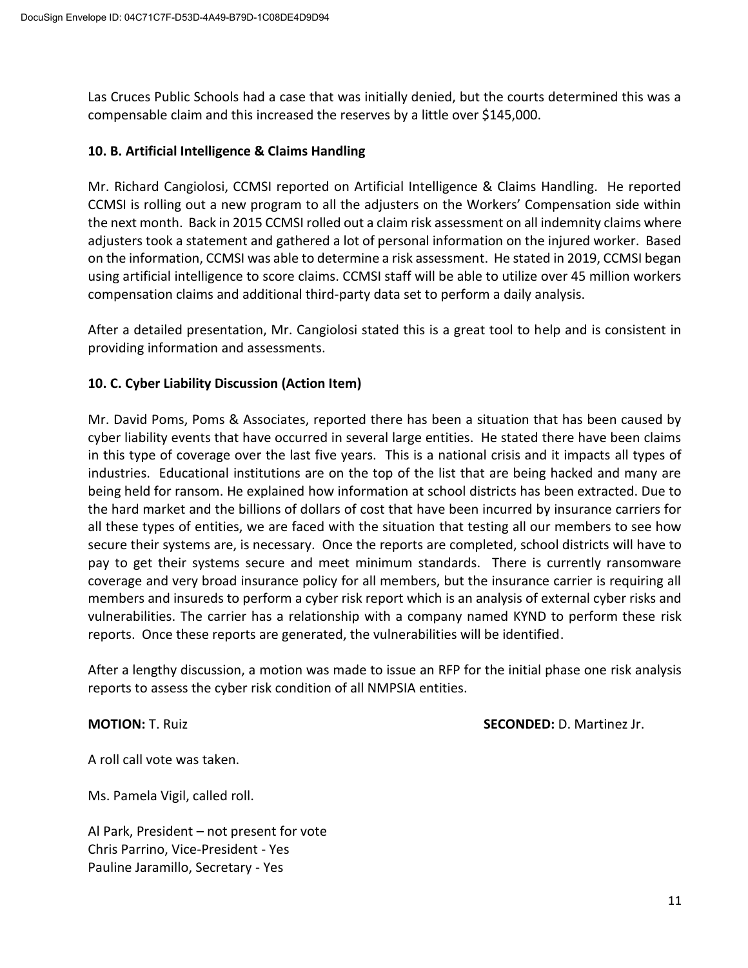Las Cruces Public Schools had a case that was initially denied, but the courts determined this was a compensable claim and this increased the reserves by a little over \$145,000.

## **10. B. Artificial Intelligence & Claims Handling**

Mr. Richard Cangiolosi, CCMSI reported on Artificial Intelligence & Claims Handling. He reported CCMSI is rolling out a new program to all the adjusters on the Workers' Compensation side within the next month. Back in 2015 CCMSI rolled out a claim risk assessment on all indemnity claims where adjusters took a statement and gathered a lot of personal information on the injured worker. Based on the information, CCMSI was able to determine a risk assessment. He stated in 2019, CCMSI began using artificial intelligence to score claims. CCMSI staff will be able to utilize over 45 million workers compensation claims and additional third-party data set to perform a daily analysis.

After a detailed presentation, Mr. Cangiolosi stated this is a great tool to help and is consistent in providing information and assessments.

## **10. C. Cyber Liability Discussion (Action Item)**

Mr. David Poms, Poms & Associates, reported there has been a situation that has been caused by cyber liability events that have occurred in several large entities. He stated there have been claims in this type of coverage over the last five years. This is a national crisis and it impacts all types of industries. Educational institutions are on the top of the list that are being hacked and many are being held for ransom. He explained how information at school districts has been extracted. Due to the hard market and the billions of dollars of cost that have been incurred by insurance carriers for all these types of entities, we are faced with the situation that testing all our members to see how secure their systems are, is necessary. Once the reports are completed, school districts will have to pay to get their systems secure and meet minimum standards. There is currently ransomware coverage and very broad insurance policy for all members, but the insurance carrier is requiring all members and insureds to perform a cyber risk report which is an analysis of external cyber risks and vulnerabilities. The carrier has a relationship with a company named KYND to perform these risk reports. Once these reports are generated, the vulnerabilities will be identified.

After a lengthy discussion, a motion was made to issue an RFP for the initial phase one risk analysis reports to assess the cyber risk condition of all NMPSIA entities.

**MOTION:** T. Ruiz **SECONDED:** D. Martinez Jr.

A roll call vote was taken.

Ms. Pamela Vigil, called roll.

Al Park, President – not present for vote Chris Parrino, Vice-President - Yes Pauline Jaramillo, Secretary - Yes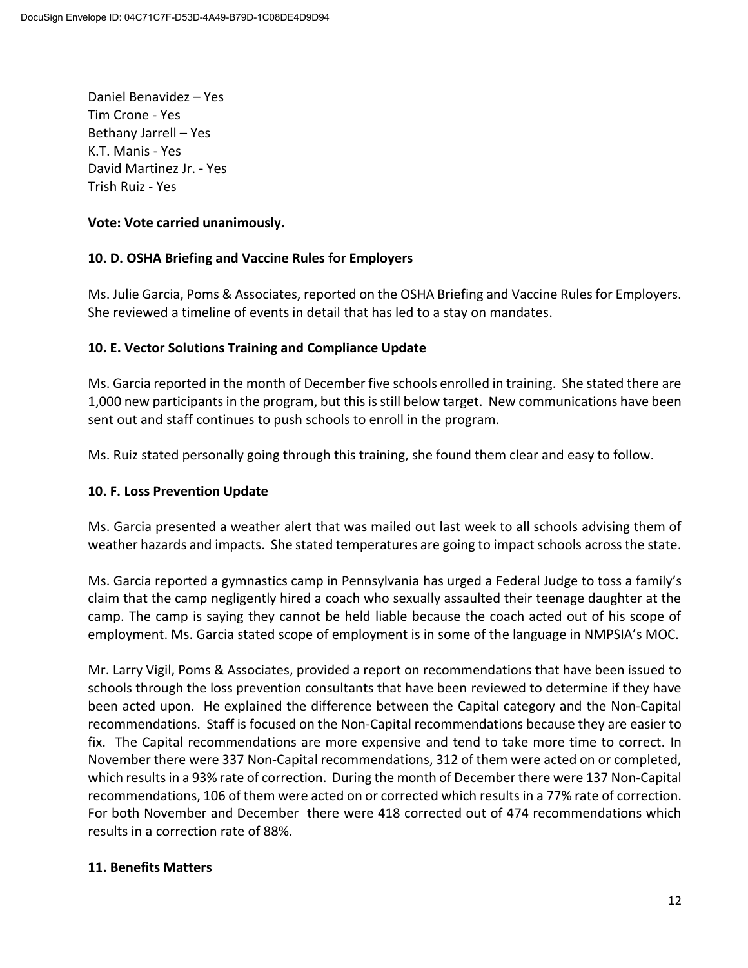Daniel Benavidez – Yes Tim Crone - Yes Bethany Jarrell – Yes K.T. Manis - Yes David Martinez Jr. - Yes Trish Ruiz - Yes

# **Vote: Vote carried unanimously.**

# **10. D. OSHA Briefing and Vaccine Rules for Employers**

Ms. Julie Garcia, Poms & Associates, reported on the OSHA Briefing and Vaccine Rules for Employers. She reviewed a timeline of events in detail that has led to a stay on mandates.

# **10. E. Vector Solutions Training and Compliance Update**

Ms. Garcia reported in the month of December five schools enrolled in training. She stated there are 1,000 new participants in the program, but this is still below target. New communications have been sent out and staff continues to push schools to enroll in the program.

Ms. Ruiz stated personally going through this training, she found them clear and easy to follow.

## **10. F. Loss Prevention Update**

Ms. Garcia presented a weather alert that was mailed out last week to all schools advising them of weather hazards and impacts. She stated temperatures are going to impact schools across the state.

Ms. Garcia reported a gymnastics camp in Pennsylvania has urged a Federal Judge to toss a family's claim that the camp negligently hired a coach who sexually assaulted their teenage daughter at the camp. The camp is saying they cannot be held liable because the coach acted out of his scope of employment. Ms. Garcia stated scope of employment is in some of the language in NMPSIA's MOC.

Mr. Larry Vigil, Poms & Associates, provided a report on recommendations that have been issued to schools through the loss prevention consultants that have been reviewed to determine if they have been acted upon. He explained the difference between the Capital category and the Non-Capital recommendations. Staff is focused on the Non-Capital recommendations because they are easier to fix. The Capital recommendations are more expensive and tend to take more time to correct. In November there were 337 Non-Capital recommendations, 312 of them were acted on or completed, which results in a 93% rate of correction. During the month of December there were 137 Non-Capital recommendations, 106 of them were acted on or corrected which results in a 77% rate of correction. For both November and December there were 418 corrected out of 474 recommendations which results in a correction rate of 88%.

## **11. Benefits Matters**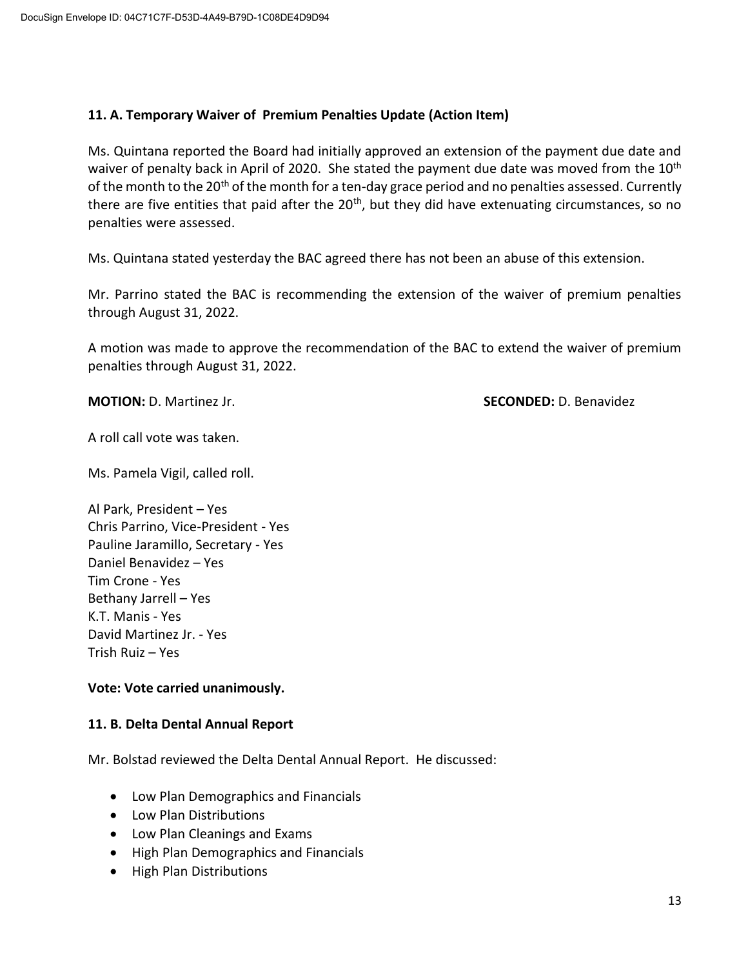## **11. A. Temporary Waiver of Premium Penalties Update (Action Item)**

Ms. Quintana reported the Board had initially approved an extension of the payment due date and waiver of penalty back in April of 2020. She stated the payment due date was moved from the 10<sup>th</sup> of the month to the 20<sup>th</sup> of the month for a ten-day grace period and no penalties assessed. Currently there are five entities that paid after the 20<sup>th</sup>, but they did have extenuating circumstances, so no penalties were assessed.

Ms. Quintana stated yesterday the BAC agreed there has not been an abuse of this extension.

Mr. Parrino stated the BAC is recommending the extension of the waiver of premium penalties through August 31, 2022.

A motion was made to approve the recommendation of the BAC to extend the waiver of premium penalties through August 31, 2022.

**MOTION:** D. Martinez Jr. **SECONDED:** D. Benavidez

A roll call vote was taken.

Ms. Pamela Vigil, called roll.

Al Park, President – Yes Chris Parrino, Vice-President - Yes Pauline Jaramillo, Secretary - Yes Daniel Benavidez – Yes Tim Crone - Yes Bethany Jarrell – Yes K.T. Manis - Yes David Martinez Jr. - Yes Trish Ruiz – Yes

## **Vote: Vote carried unanimously.**

## **11. B. Delta Dental Annual Report**

Mr. Bolstad reviewed the Delta Dental Annual Report. He discussed:

- Low Plan Demographics and Financials
- Low Plan Distributions
- Low Plan Cleanings and Exams
- High Plan Demographics and Financials
- High Plan Distributions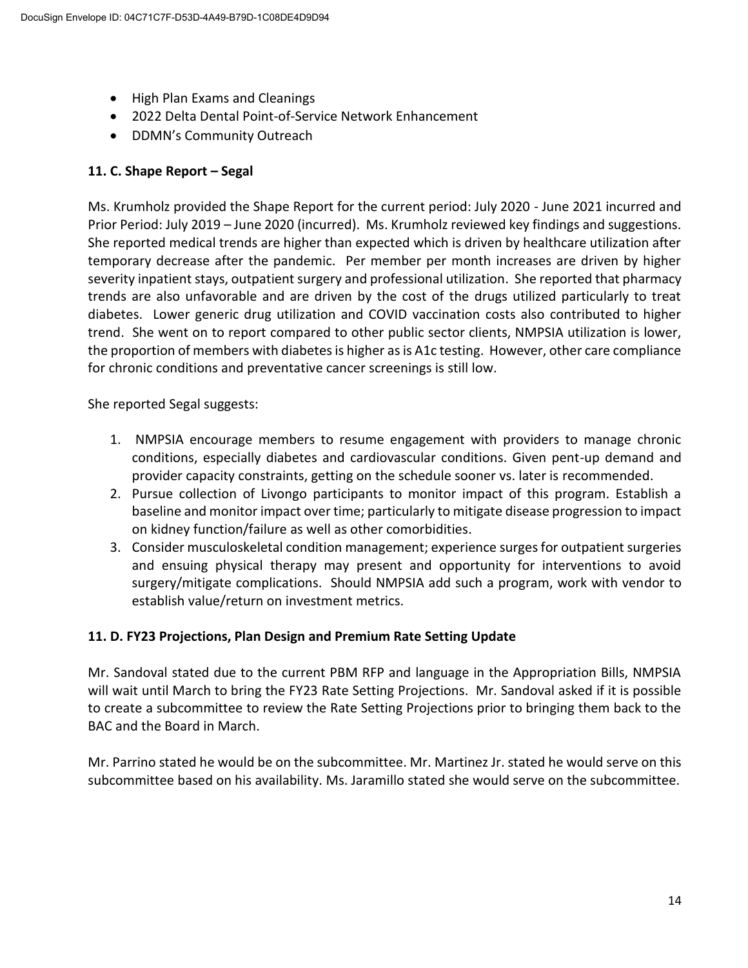- High Plan Exams and Cleanings
- 2022 Delta Dental Point-of-Service Network Enhancement
- DDMN's Community Outreach

# **11. C. Shape Report – Segal**

Ms. Krumholz provided the Shape Report for the current period: July 2020 - June 2021 incurred and Prior Period: July 2019 – June 2020 (incurred). Ms. Krumholz reviewed key findings and suggestions. She reported medical trends are higher than expected which is driven by healthcare utilization after temporary decrease after the pandemic. Per member per month increases are driven by higher severity inpatient stays, outpatient surgery and professional utilization. She reported that pharmacy trends are also unfavorable and are driven by the cost of the drugs utilized particularly to treat diabetes. Lower generic drug utilization and COVID vaccination costs also contributed to higher trend. She went on to report compared to other public sector clients, NMPSIA utilization is lower, the proportion of members with diabetes is higher as is A1c testing. However, other care compliance for chronic conditions and preventative cancer screenings is still low.

She reported Segal suggests:

- 1. NMPSIA encourage members to resume engagement with providers to manage chronic conditions, especially diabetes and cardiovascular conditions. Given pent-up demand and provider capacity constraints, getting on the schedule sooner vs. later is recommended.
- 2. Pursue collection of Livongo participants to monitor impact of this program. Establish a baseline and monitor impact over time; particularly to mitigate disease progression to impact on kidney function/failure as well as other comorbidities.
- 3. Consider musculoskeletal condition management; experience surges for outpatient surgeries and ensuing physical therapy may present and opportunity for interventions to avoid surgery/mitigate complications. Should NMPSIA add such a program, work with vendor to establish value/return on investment metrics.

# **11. D. FY23 Projections, Plan Design and Premium Rate Setting Update**

Mr. Sandoval stated due to the current PBM RFP and language in the Appropriation Bills, NMPSIA will wait until March to bring the FY23 Rate Setting Projections. Mr. Sandoval asked if it is possible to create a subcommittee to review the Rate Setting Projections prior to bringing them back to the BAC and the Board in March.

Mr. Parrino stated he would be on the subcommittee. Mr. Martinez Jr. stated he would serve on this subcommittee based on his availability. Ms. Jaramillo stated she would serve on the subcommittee.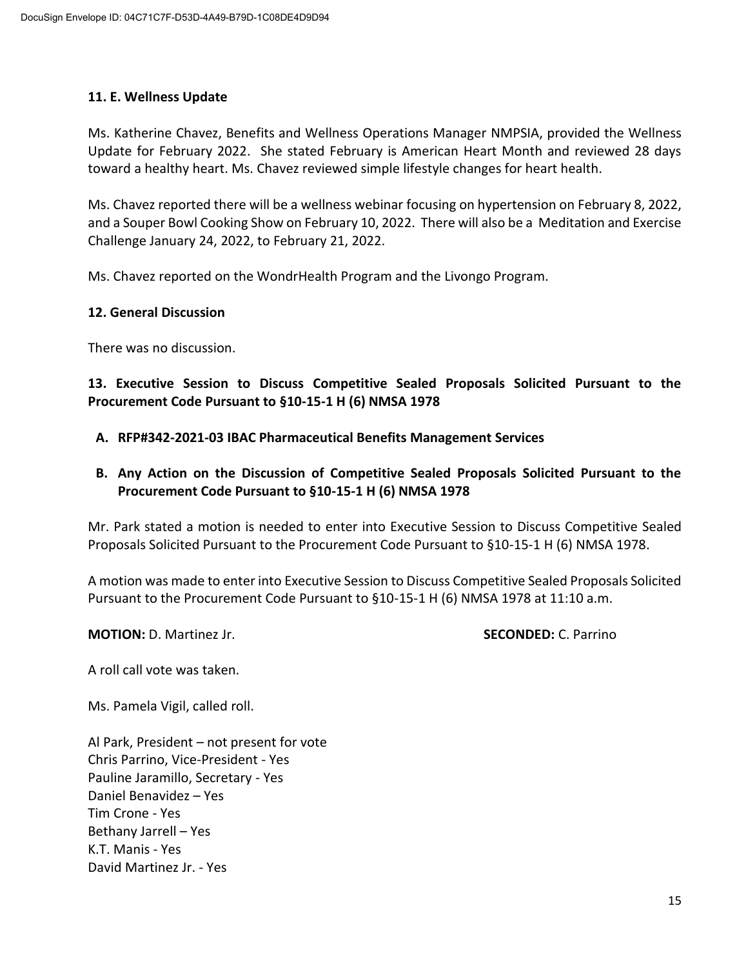## **11. E. Wellness Update**

Ms. Katherine Chavez, Benefits and Wellness Operations Manager NMPSIA, provided the Wellness Update for February 2022. She stated February is American Heart Month and reviewed 28 days toward a healthy heart. Ms. Chavez reviewed simple lifestyle changes for heart health.

Ms. Chavez reported there will be a wellness webinar focusing on hypertension on February 8, 2022, and a Souper Bowl Cooking Show on February 10, 2022. There will also be a Meditation and Exercise Challenge January 24, 2022, to February 21, 2022.

Ms. Chavez reported on the WondrHealth Program and the Livongo Program.

#### **12. General Discussion**

There was no discussion.

**13. Executive Session to Discuss Competitive Sealed Proposals Solicited Pursuant to the Procurement Code Pursuant to §10-15-1 H (6) NMSA 1978**

**A. RFP#342-2021-03 IBAC Pharmaceutical Benefits Management Services**

# **B. Any Action on the Discussion of Competitive Sealed Proposals Solicited Pursuant to the Procurement Code Pursuant to §10-15-1 H (6) NMSA 1978**

Mr. Park stated a motion is needed to enter into Executive Session to Discuss Competitive Sealed Proposals Solicited Pursuant to the Procurement Code Pursuant to §10-15-1 H (6) NMSA 1978.

A motion was made to enter into Executive Session to Discuss Competitive Sealed Proposals Solicited Pursuant to the Procurement Code Pursuant to §10-15-1 H (6) NMSA 1978 at 11:10 a.m.

**MOTION:** D. Martinez Jr. **SECONDED:** C. Parrino

A roll call vote was taken.

Ms. Pamela Vigil, called roll.

Al Park, President – not present for vote Chris Parrino, Vice-President - Yes Pauline Jaramillo, Secretary - Yes Daniel Benavidez – Yes Tim Crone - Yes Bethany Jarrell – Yes K.T. Manis - Yes David Martinez Jr. - Yes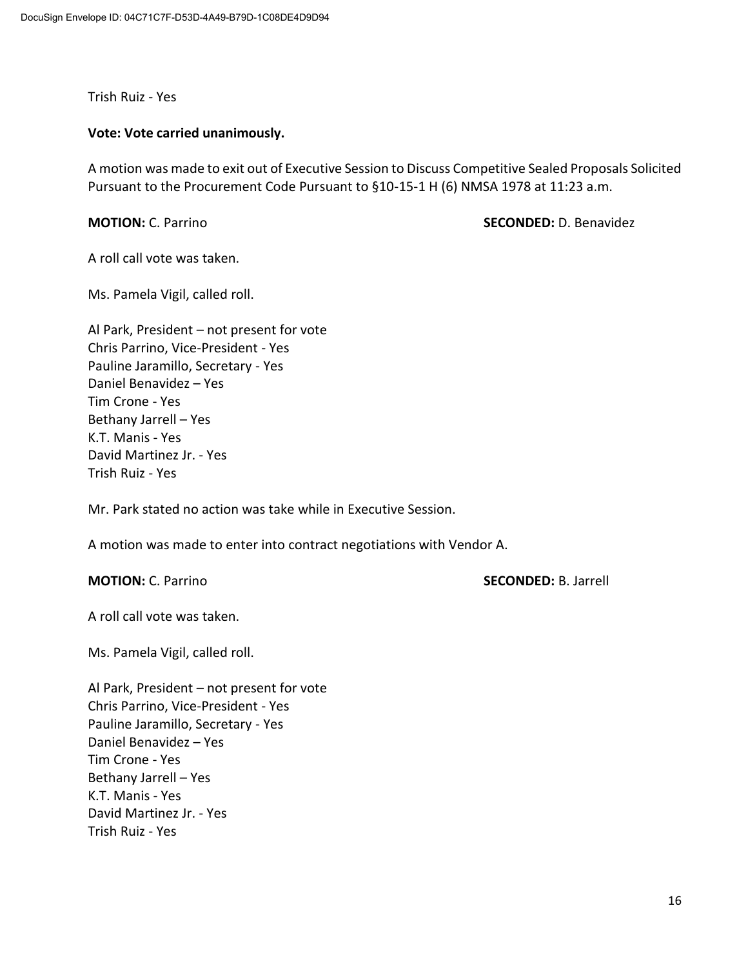Trish Ruiz - Yes

#### **Vote: Vote carried unanimously.**

A motion was made to exit out of Executive Session to Discuss Competitive Sealed Proposals Solicited Pursuant to the Procurement Code Pursuant to §10-15-1 H (6) NMSA 1978 at 11:23 a.m.

**MOTION:** C. Parrino **SECONDED:** D. Benavidez

A roll call vote was taken.

Ms. Pamela Vigil, called roll.

Al Park, President – not present for vote Chris Parrino, Vice-President - Yes Pauline Jaramillo, Secretary - Yes Daniel Benavidez – Yes Tim Crone - Yes Bethany Jarrell – Yes K.T. Manis - Yes David Martinez Jr. - Yes Trish Ruiz - Yes

Mr. Park stated no action was take while in Executive Session.

A motion was made to enter into contract negotiations with Vendor A.

**MOTION:** C. Parrino **SECONDED:** B. Jarrell

A roll call vote was taken.

Ms. Pamela Vigil, called roll.

Al Park, President – not present for vote Chris Parrino, Vice-President - Yes Pauline Jaramillo, Secretary - Yes Daniel Benavidez – Yes Tim Crone - Yes Bethany Jarrell – Yes K.T. Manis - Yes David Martinez Jr. - Yes Trish Ruiz - Yes